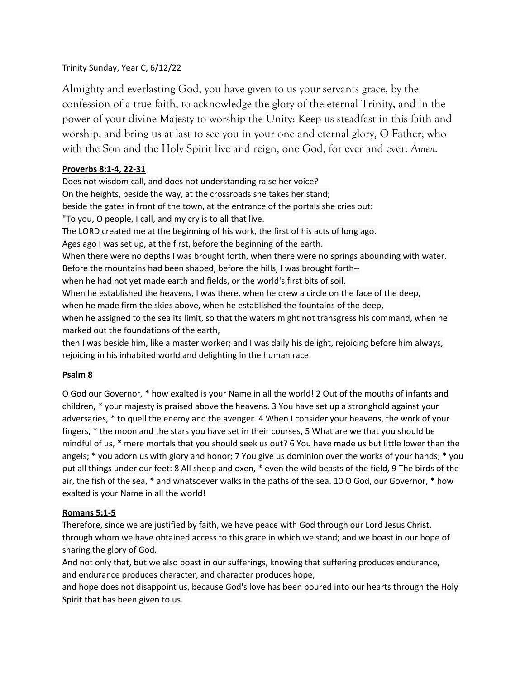# Trinity Sunday, Year C, 6/12/22

Almighty and everlasting God, you have given to us your servants grace, by the confession of a true faith, to acknowledge the glory of the eternal Trinity, and in the power of your divine Majesty to worship the Unity: Keep us steadfast in this faith and worship, and bring us at last to see you in your one and eternal glory, O Father; who with the Son and the Holy Spirit live and reign, one God, for ever and ever. *Amen.*

# **Proverbs 8:1-4, 22-31**

Does not wisdom call, and does not understanding raise her voice? On the heights, beside the way, at the crossroads she takes her stand; beside the gates in front of the town, at the entrance of the portals she cries out: "To you, O people, I call, and my cry is to all that live. The LORD created me at the beginning of his work, the first of his acts of long ago. Ages ago I was set up, at the first, before the beginning of the earth. When there were no depths I was brought forth, when there were no springs abounding with water. Before the mountains had been shaped, before the hills, I was brought forth- when he had not yet made earth and fields, or the world's first bits of soil. When he established the heavens, I was there, when he drew a circle on the face of the deep, when he made firm the skies above, when he established the fountains of the deep, when he assigned to the sea its limit, so that the waters might not transgress his command, when he marked out the foundations of the earth, then I was beside him, like a master worker; and I was daily his delight, rejoicing before him always, rejoicing in his inhabited world and delighting in the human race.

### **Psalm 8**

O God our Governor, \* how exalted is your Name in all the world! 2 Out of the mouths of infants and children, \* your majesty is praised above the heavens. 3 You have set up a stronghold against your adversaries, \* to quell the enemy and the avenger. 4 When I consider your heavens, the work of your fingers, \* the moon and the stars you have set in their courses, 5 What are we that you should be mindful of us, \* mere mortals that you should seek us out? 6 You have made us but little lower than the angels; \* you adorn us with glory and honor; 7 You give us dominion over the works of your hands; \* you put all things under our feet: 8 All sheep and oxen, \* even the wild beasts of the field, 9 The birds of the air, the fish of the sea, \* and whatsoever walks in the paths of the sea. 10 O God, our Governor, \* how exalted is your Name in all the world!

### **Romans 5:1-5**

Therefore, since we are justified by faith, we have peace with God through our Lord Jesus Christ, through whom we have obtained access to this grace in which we stand; and we boast in our hope of sharing the glory of God.

And not only that, but we also boast in our sufferings, knowing that suffering produces endurance, and endurance produces character, and character produces hope,

and hope does not disappoint us, because God's love has been poured into our hearts through the Holy Spirit that has been given to us.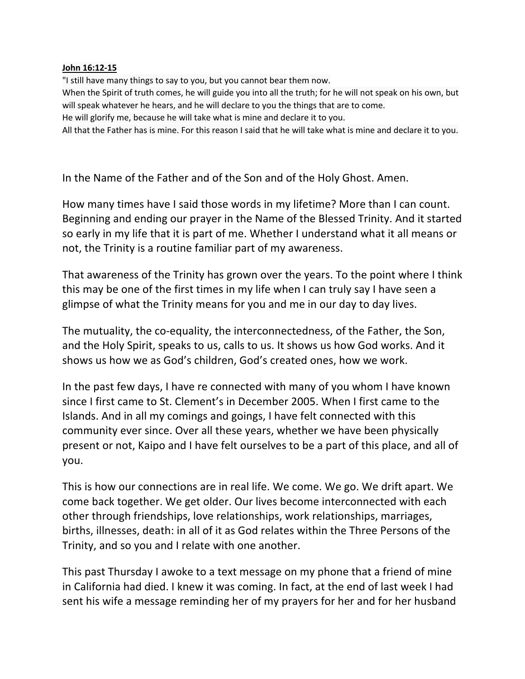#### **John 16:12-15**

"I still have many things to say to you, but you cannot bear them now. When the Spirit of truth comes, he will guide you into all the truth; for he will not speak on his own, but will speak whatever he hears, and he will declare to you the things that are to come. He will glorify me, because he will take what is mine and declare it to you. All that the Father has is mine. For this reason I said that he will take what is mine and declare it to you.

In the Name of the Father and of the Son and of the Holy Ghost. Amen.

How many times have I said those words in my lifetime? More than I can count. Beginning and ending our prayer in the Name of the Blessed Trinity. And it started so early in my life that it is part of me. Whether I understand what it all means or not, the Trinity is a routine familiar part of my awareness.

That awareness of the Trinity has grown over the years. To the point where I think this may be one of the first times in my life when I can truly say I have seen a glimpse of what the Trinity means for you and me in our day to day lives.

The mutuality, the co-equality, the interconnectedness, of the Father, the Son, and the Holy Spirit, speaks to us, calls to us. It shows us how God works. And it shows us how we as God's children, God's created ones, how we work.

In the past few days, I have re connected with many of you whom I have known since I first came to St. Clement's in December 2005. When I first came to the Islands. And in all my comings and goings, I have felt connected with this community ever since. Over all these years, whether we have been physically present or not, Kaipo and I have felt ourselves to be a part of this place, and all of you.

This is how our connections are in real life. We come. We go. We drift apart. We come back together. We get older. Our lives become interconnected with each other through friendships, love relationships, work relationships, marriages, births, illnesses, death: in all of it as God relates within the Three Persons of the Trinity, and so you and I relate with one another.

This past Thursday I awoke to a text message on my phone that a friend of mine in California had died. I knew it was coming. In fact, at the end of last week I had sent his wife a message reminding her of my prayers for her and for her husband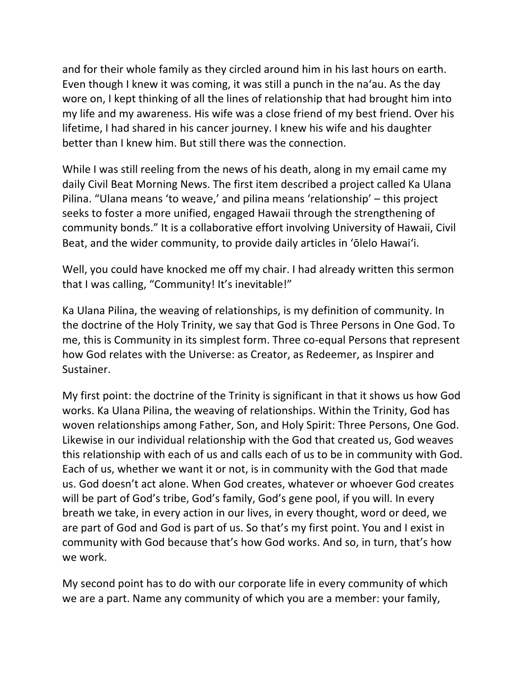and for their whole family as they circled around him in his last hours on earth. Even though I knew it was coming, it was still a punch in the na'au. As the day wore on, I kept thinking of all the lines of relationship that had brought him into my life and my awareness. His wife was a close friend of my best friend. Over his lifetime, I had shared in his cancer journey. I knew his wife and his daughter better than I knew him. But still there was the connection.

While I was still reeling from the news of his death, along in my email came my daily Civil Beat Morning News. The first item described a project called Ka Ulana Pilina. "Ulana means 'to weave,' and pilina means 'relationship' – this project seeks to foster a more unified, engaged Hawaii through the strengthening of community bonds." It is a collaborative effort involving University of Hawaii, Civil Beat, and the wider community, to provide daily articles in 'ōlelo Hawai'i.

Well, you could have knocked me off my chair. I had already written this sermon that I was calling, "Community! It's inevitable!"

Ka Ulana Pilina, the weaving of relationships, is my definition of community. In the doctrine of the Holy Trinity, we say that God is Three Persons in One God. To me, this is Community in its simplest form. Three co-equal Persons that represent how God relates with the Universe: as Creator, as Redeemer, as Inspirer and Sustainer.

My first point: the doctrine of the Trinity is significant in that it shows us how God works. Ka Ulana Pilina, the weaving of relationships. Within the Trinity, God has woven relationships among Father, Son, and Holy Spirit: Three Persons, One God. Likewise in our individual relationship with the God that created us, God weaves this relationship with each of us and calls each of us to be in community with God. Each of us, whether we want it or not, is in community with the God that made us. God doesn't act alone. When God creates, whatever or whoever God creates will be part of God's tribe, God's family, God's gene pool, if you will. In every breath we take, in every action in our lives, in every thought, word or deed, we are part of God and God is part of us. So that's my first point. You and I exist in community with God because that's how God works. And so, in turn, that's how we work.

My second point has to do with our corporate life in every community of which we are a part. Name any community of which you are a member: your family,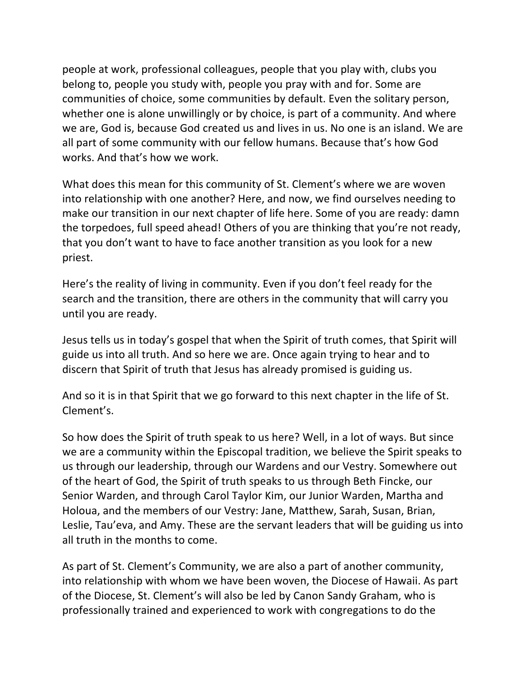people at work, professional colleagues, people that you play with, clubs you belong to, people you study with, people you pray with and for. Some are communities of choice, some communities by default. Even the solitary person, whether one is alone unwillingly or by choice, is part of a community. And where we are, God is, because God created us and lives in us. No one is an island. We are all part of some community with our fellow humans. Because that's how God works. And that's how we work.

What does this mean for this community of St. Clement's where we are woven into relationship with one another? Here, and now, we find ourselves needing to make our transition in our next chapter of life here. Some of you are ready: damn the torpedoes, full speed ahead! Others of you are thinking that you're not ready, that you don't want to have to face another transition as you look for a new priest.

Here's the reality of living in community. Even if you don't feel ready for the search and the transition, there are others in the community that will carry you until you are ready.

Jesus tells us in today's gospel that when the Spirit of truth comes, that Spirit will guide us into all truth. And so here we are. Once again trying to hear and to discern that Spirit of truth that Jesus has already promised is guiding us.

And so it is in that Spirit that we go forward to this next chapter in the life of St. Clement's.

So how does the Spirit of truth speak to us here? Well, in a lot of ways. But since we are a community within the Episcopal tradition, we believe the Spirit speaks to us through our leadership, through our Wardens and our Vestry. Somewhere out of the heart of God, the Spirit of truth speaks to us through Beth Fincke, our Senior Warden, and through Carol Taylor Kim, our Junior Warden, Martha and Holoua, and the members of our Vestry: Jane, Matthew, Sarah, Susan, Brian, Leslie, Tau'eva, and Amy. These are the servant leaders that will be guiding us into all truth in the months to come.

As part of St. Clement's Community, we are also a part of another community, into relationship with whom we have been woven, the Diocese of Hawaii. As part of the Diocese, St. Clement's will also be led by Canon Sandy Graham, who is professionally trained and experienced to work with congregations to do the